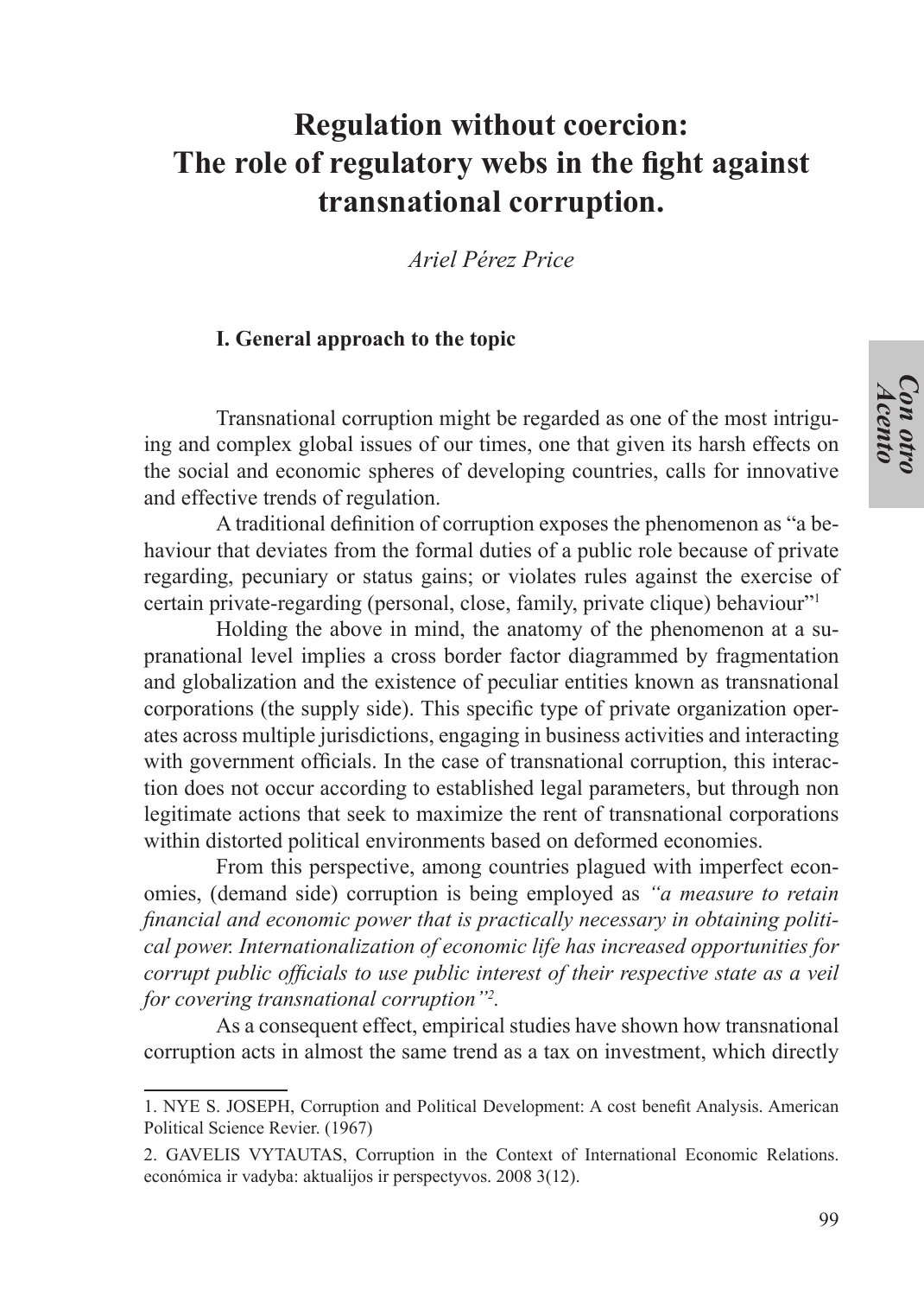# **Regulation without coercion: The role of regulatory webs in the fight against transnational corruption.**

*Ariel Pérez Price*

#### **I. General approach to the topic**

Transnational corruption might be regarded as one of the most intriguing and complex global issues of our times, one that given its harsh effects on the social and economic spheres of developing countries, calls for innovative and effective trends of regulation.

A traditional definition of corruption exposes the phenomenon as "a behaviour that deviates from the formal duties of a public role because of private regarding, pecuniary or status gains; or violates rules against the exercise of certain private-regarding (personal, close, family, private clique) behaviour"1

Holding the above in mind, the anatomy of the phenomenon at a supranational level implies a cross border factor diagrammed by fragmentation and globalization and the existence of peculiar entities known as transnational corporations (the supply side). This specific type of private organization operates across multiple jurisdictions, engaging in business activities and interacting with government officials. In the case of transnational corruption, this interaction does not occur according to established legal parameters, but through non legitimate actions that seek to maximize the rent of transnational corporations within distorted political environments based on deformed economies.

From this perspective, among countries plagued with imperfect economies, (demand side) corruption is being employed as *"a measure to retain financial and economic power that is practically necessary in obtaining political power. Internationalization of economic life has increased opportunities for corrupt public officials to use public interest of their respective state as a veil for covering transnational corruption"2 .*

As a consequent effect, empirical studies have shown how transnational corruption acts in almost the same trend as a tax on investment, which directly

<sup>1.</sup> NYE S. JOSEPH, Corruption and Political Development: A cost benefit Analysis. American Political Science Revier. (1967)

<sup>2.</sup> GAVELIS VYTAUTAS, Corruption in the Context of International Economic Relations. económica ir vadyba: aktualijos ir perspectyvos. 2008 3(12).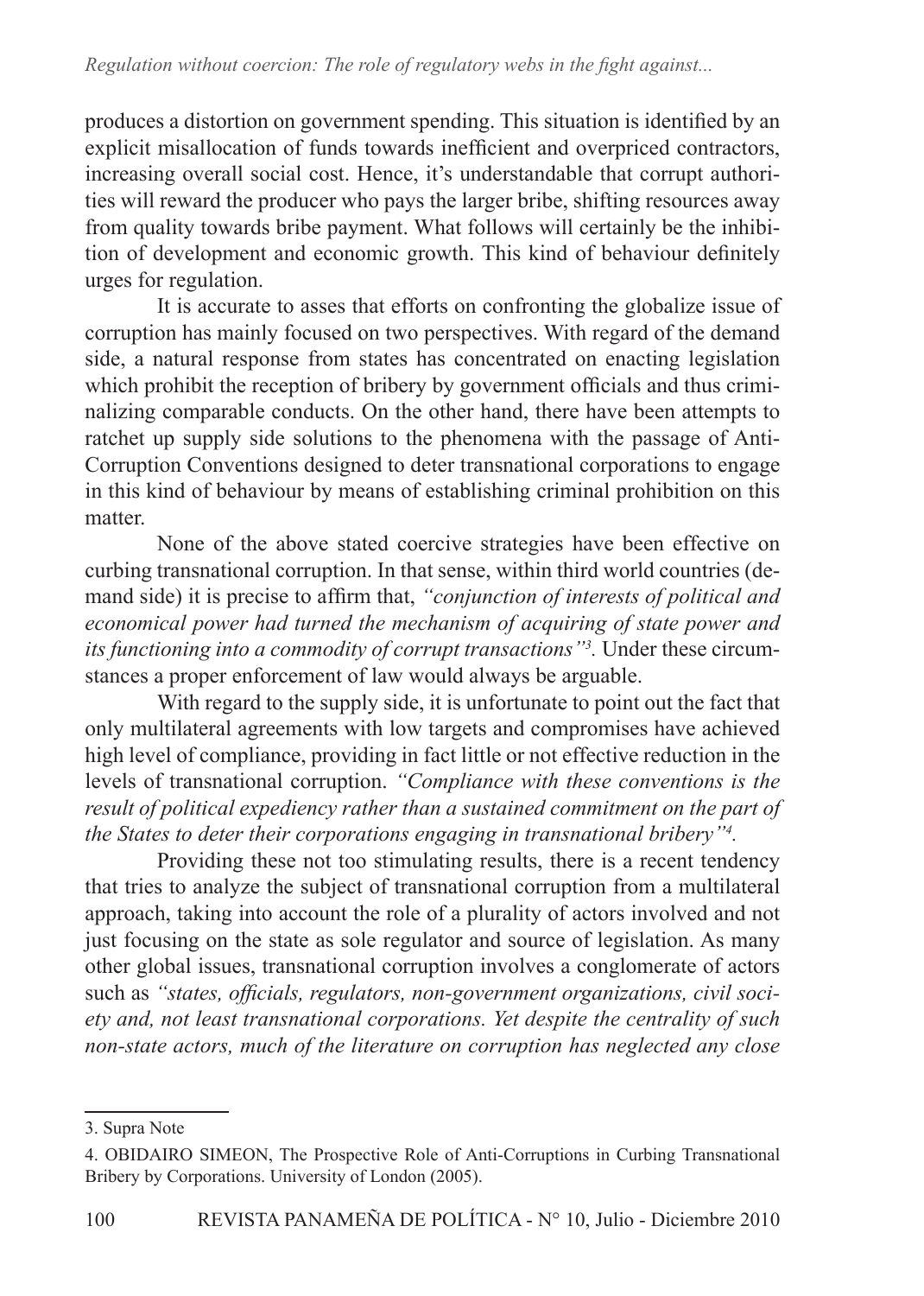produces a distortion on government spending. This situation is identified by an explicit misallocation of funds towards inefficient and overpriced contractors, increasing overall social cost. Hence, it's understandable that corrupt authorities will reward the producer who pays the larger bribe, shifting resources away from quality towards bribe payment. What follows will certainly be the inhibition of development and economic growth. This kind of behaviour definitely urges for regulation.

It is accurate to asses that efforts on confronting the globalize issue of corruption has mainly focused on two perspectives. With regard of the demand side, a natural response from states has concentrated on enacting legislation which prohibit the reception of bribery by government officials and thus criminalizing comparable conducts. On the other hand, there have been attempts to ratchet up supply side solutions to the phenomena with the passage of Anti-Corruption Conventions designed to deter transnational corporations to engage in this kind of behaviour by means of establishing criminal prohibition on this matter.

None of the above stated coercive strategies have been effective on curbing transnational corruption. In that sense, within third world countries (demand side) it is precise to affirm that, *"conjunction of interests of political and economical power had turned the mechanism of acquiring of state power and its functioning into a commodity of corrupt transactions"3 .* Under these circumstances a proper enforcement of law would always be arguable.

With regard to the supply side, it is unfortunate to point out the fact that only multilateral agreements with low targets and compromises have achieved high level of compliance, providing in fact little or not effective reduction in the levels of transnational corruption. *"Compliance with these conventions is the result of political expediency rather than a sustained commitment on the part of the States to deter their corporations engaging in transnational bribery"4 .*

Providing these not too stimulating results, there is a recent tendency that tries to analyze the subject of transnational corruption from a multilateral approach, taking into account the role of a plurality of actors involved and not just focusing on the state as sole regulator and source of legislation. As many other global issues, transnational corruption involves a conglomerate of actors such as *"states, officials, regulators, non-government organizations, civil society and, not least transnational corporations. Yet despite the centrality of such non-state actors, much of the literature on corruption has neglected any close* 

<sup>3.</sup> Supra Note

<sup>4.</sup> OBIDAIRO SIMEON, The Prospective Role of Anti-Corruptions in Curbing Transnational Bribery by Corporations. University of London (2005).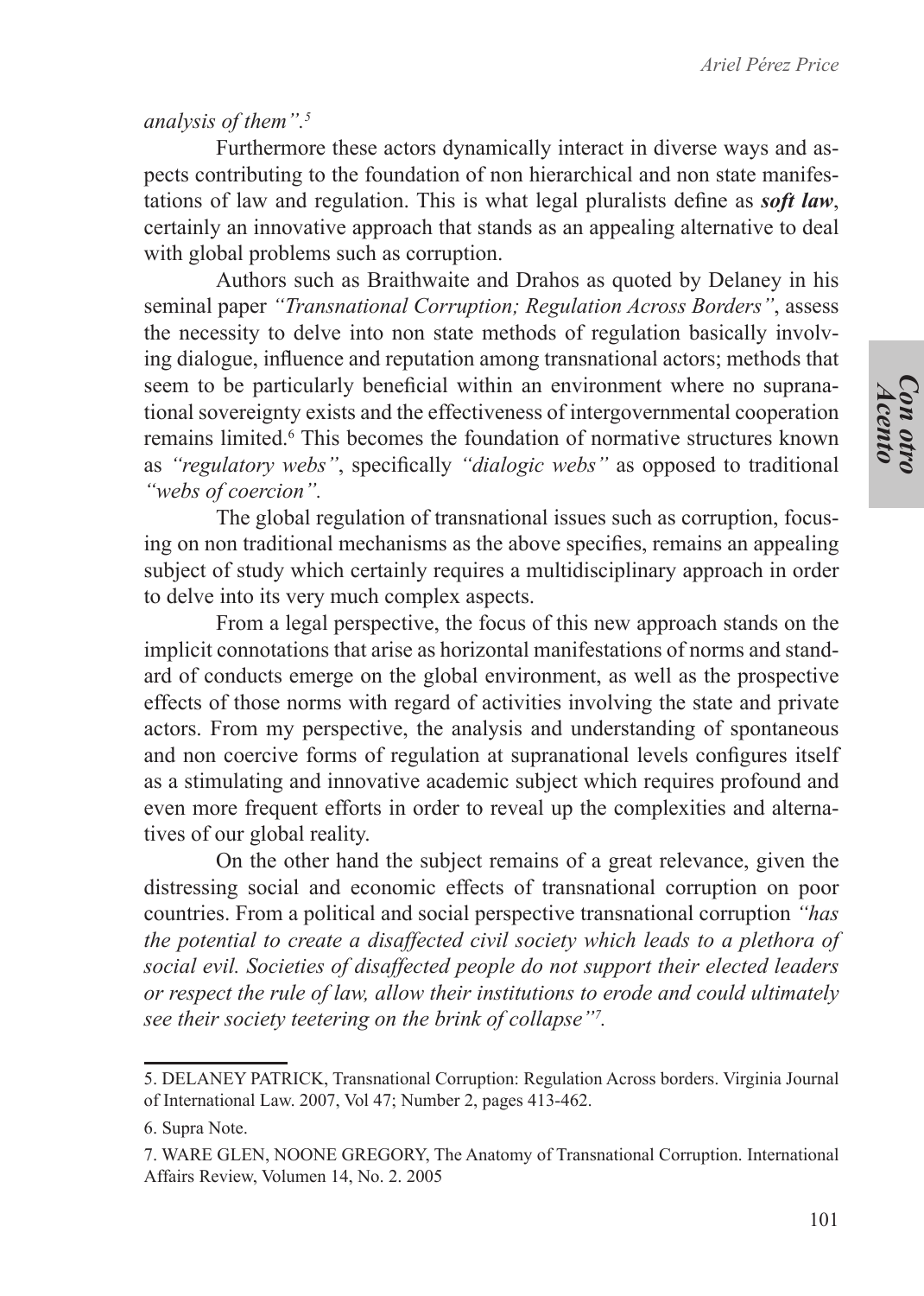*Con otro Acento*

*analysis of them".5*

Furthermore these actors dynamically interact in diverse ways and aspects contributing to the foundation of non hierarchical and non state manifestations of law and regulation. This is what legal pluralists define as *soft law*, certainly an innovative approach that stands as an appealing alternative to deal with global problems such as corruption.

Authors such as Braithwaite and Drahos as quoted by Delaney in his seminal paper *"Transnational Corruption; Regulation Across Borders"*, assess the necessity to delve into non state methods of regulation basically involving dialogue, influence and reputation among transnational actors; methods that seem to be particularly beneficial within an environment where no supranational sovereignty exists and the effectiveness of intergovernmental cooperation remains limited.<sup>6</sup> This becomes the foundation of normative structures known as *"regulatory webs"*, specifically *"dialogic webs"* as opposed to traditional *"webs of coercion".*

The global regulation of transnational issues such as corruption, focusing on non traditional mechanisms as the above specifies, remains an appealing subject of study which certainly requires a multidisciplinary approach in order to delve into its very much complex aspects.

From a legal perspective, the focus of this new approach stands on the implicit connotations that arise as horizontal manifestations of norms and standard of conducts emerge on the global environment, as well as the prospective effects of those norms with regard of activities involving the state and private actors. From my perspective, the analysis and understanding of spontaneous and non coercive forms of regulation at supranational levels configures itself as a stimulating and innovative academic subject which requires profound and even more frequent efforts in order to reveal up the complexities and alternatives of our global reality.

On the other hand the subject remains of a great relevance, given the distressing social and economic effects of transnational corruption on poor countries. From a political and social perspective transnational corruption *"has the potential to create a disaffected civil society which leads to a plethora of social evil. Societies of disaffected people do not support their elected leaders or respect the rule of law, allow their institutions to erode and could ultimately see their society teetering on the brink of collapse"7 .*

<sup>5.</sup> DELANEY PATRICK, Transnational Corruption: Regulation Across borders. Virginia Journal of International Law. 2007, Vol 47; Number 2, pages 413-462.

<sup>6.</sup> Supra Note.

<sup>7.</sup> WARE GLEN, NOONE GREGORY, The Anatomy of Transnational Corruption. International Affairs Review, Volumen 14, No. 2. 2005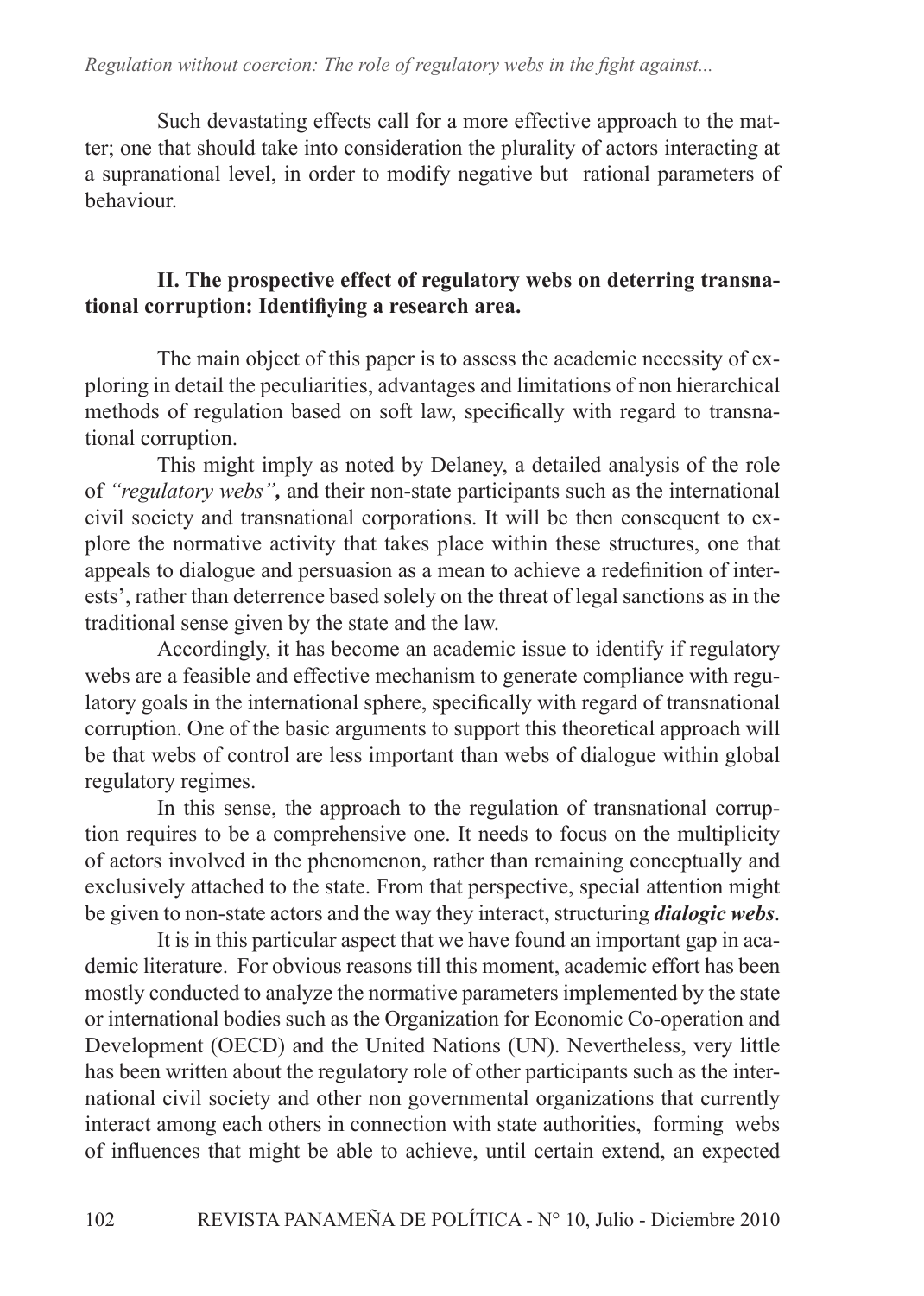### *Regulation without coercion: The role of regulatory webs in the fight against...*

Such devastating effects call for a more effective approach to the matter; one that should take into consideration the plurality of actors interacting at a supranational level, in order to modify negative but rational parameters of behaviour.

## **II. The prospective effect of regulatory webs on deterring transnational corruption: Identifiying a research area.**

The main object of this paper is to assess the academic necessity of exploring in detail the peculiarities, advantages and limitations of non hierarchical methods of regulation based on soft law, specifically with regard to transnational corruption.

This might imply as noted by Delaney, a detailed analysis of the role of *"regulatory webs",* and their non-state participants such as the international civil society and transnational corporations. It will be then consequent to explore the normative activity that takes place within these structures, one that appeals to dialogue and persuasion as a mean to achieve a redefinition of interests', rather than deterrence based solely on the threat of legal sanctions as in the traditional sense given by the state and the law.

Accordingly, it has become an academic issue to identify if regulatory webs are a feasible and effective mechanism to generate compliance with regulatory goals in the international sphere, specifically with regard of transnational corruption. One of the basic arguments to support this theoretical approach will be that webs of control are less important than webs of dialogue within global regulatory regimes.

In this sense, the approach to the regulation of transnational corruption requires to be a comprehensive one. It needs to focus on the multiplicity of actors involved in the phenomenon, rather than remaining conceptually and exclusively attached to the state. From that perspective, special attention might be given to non-state actors and the way they interact, structuring *dialogic webs*.

It is in this particular aspect that we have found an important gap in academic literature. For obvious reasons till this moment, academic effort has been mostly conducted to analyze the normative parameters implemented by the state or international bodies such as the Organization for Economic Co-operation and Development (OECD) and the United Nations (UN). Nevertheless, very little has been written about the regulatory role of other participants such as the international civil society and other non governmental organizations that currently interact among each others in connection with state authorities, forming webs of influences that might be able to achieve, until certain extend, an expected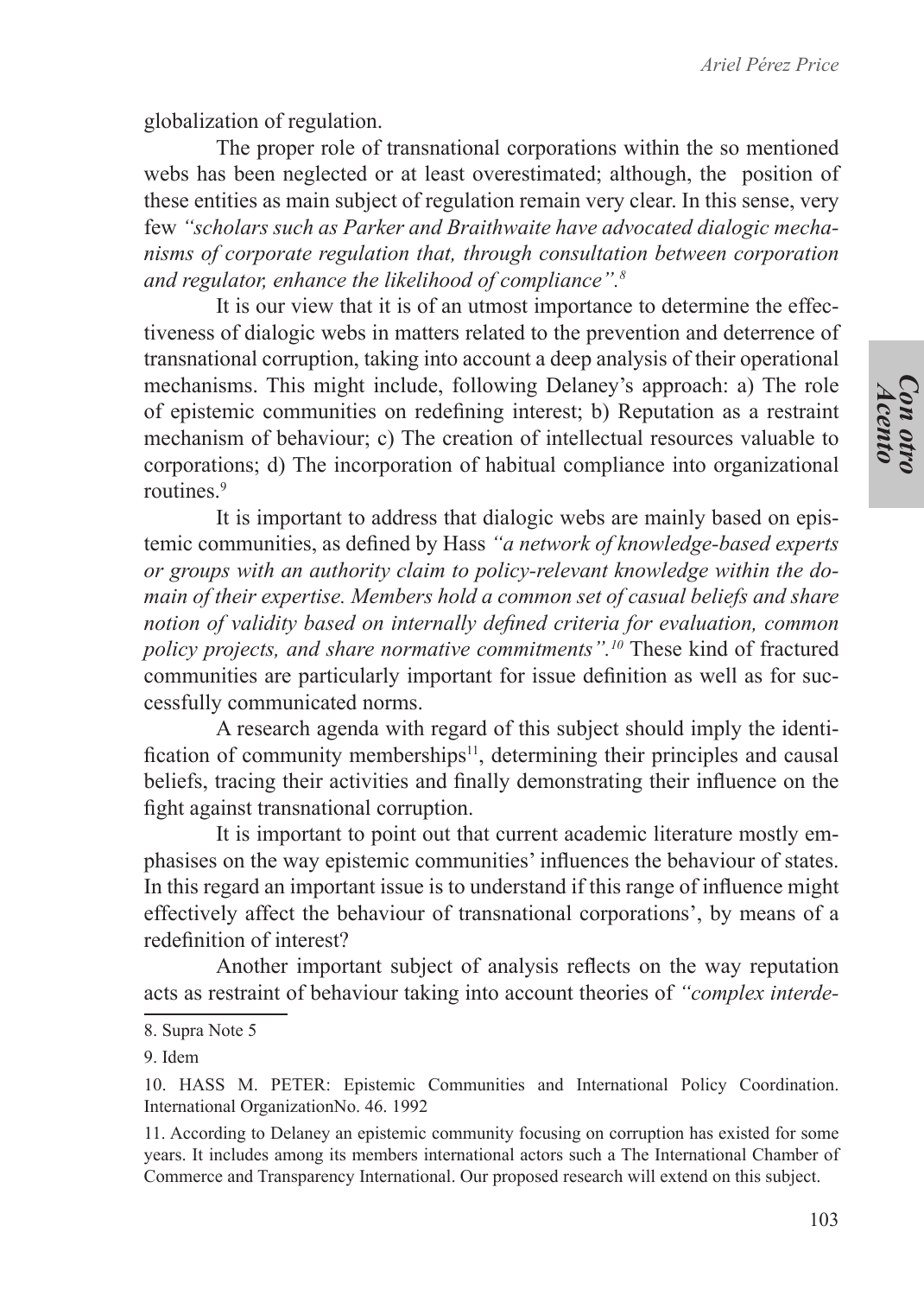globalization of regulation.

The proper role of transnational corporations within the so mentioned webs has been neglected or at least overestimated; although, the position of these entities as main subject of regulation remain very clear. In this sense, very few *"scholars such as Parker and Braithwaite have advocated dialogic mechanisms of corporate regulation that, through consultation between corporation and regulator, enhance the likelihood of compliance".8*

It is our view that it is of an utmost importance to determine the effectiveness of dialogic webs in matters related to the prevention and deterrence of transnational corruption, taking into account a deep analysis of their operational mechanisms. This might include, following Delaney's approach: a) The role of epistemic communities on redefining interest; b) Reputation as a restraint mechanism of behaviour; c) The creation of intellectual resources valuable to corporations; d) The incorporation of habitual compliance into organizational routines<sup>9</sup>

It is important to address that dialogic webs are mainly based on epistemic communities, as defined by Hass *"a network of knowledge-based experts or groups with an authority claim to policy-relevant knowledge within the domain of their expertise. Members hold a common set of casual beliefs and share notion of validity based on internally defined criteria for evaluation, common policy projects, and share normative commitments".10* These kind of fractured communities are particularly important for issue definition as well as for successfully communicated norms.

A research agenda with regard of this subject should imply the identification of community memberships $11$ , determining their principles and causal beliefs, tracing their activities and finally demonstrating their influence on the fight against transnational corruption.

It is important to point out that current academic literature mostly emphasises on the way epistemic communities' influences the behaviour of states. In this regard an important issue is to understand if this range of influence might effectively affect the behaviour of transnational corporations', by means of a redefinition of interest?

Another important subject of analysis reflects on the way reputation acts as restraint of behaviour taking into account theories of *"complex interde-*

<sup>8.</sup> Supra Note 5

<sup>9.</sup> Idem

<sup>10.</sup> HASS M. PETER: Epistemic Communities and International Policy Coordination. International OrganizationNo. 46. 1992

<sup>11.</sup> According to Delaney an epistemic community focusing on corruption has existed for some years. It includes among its members international actors such a The International Chamber of Commerce and Transparency International. Our proposed research will extend on this subject.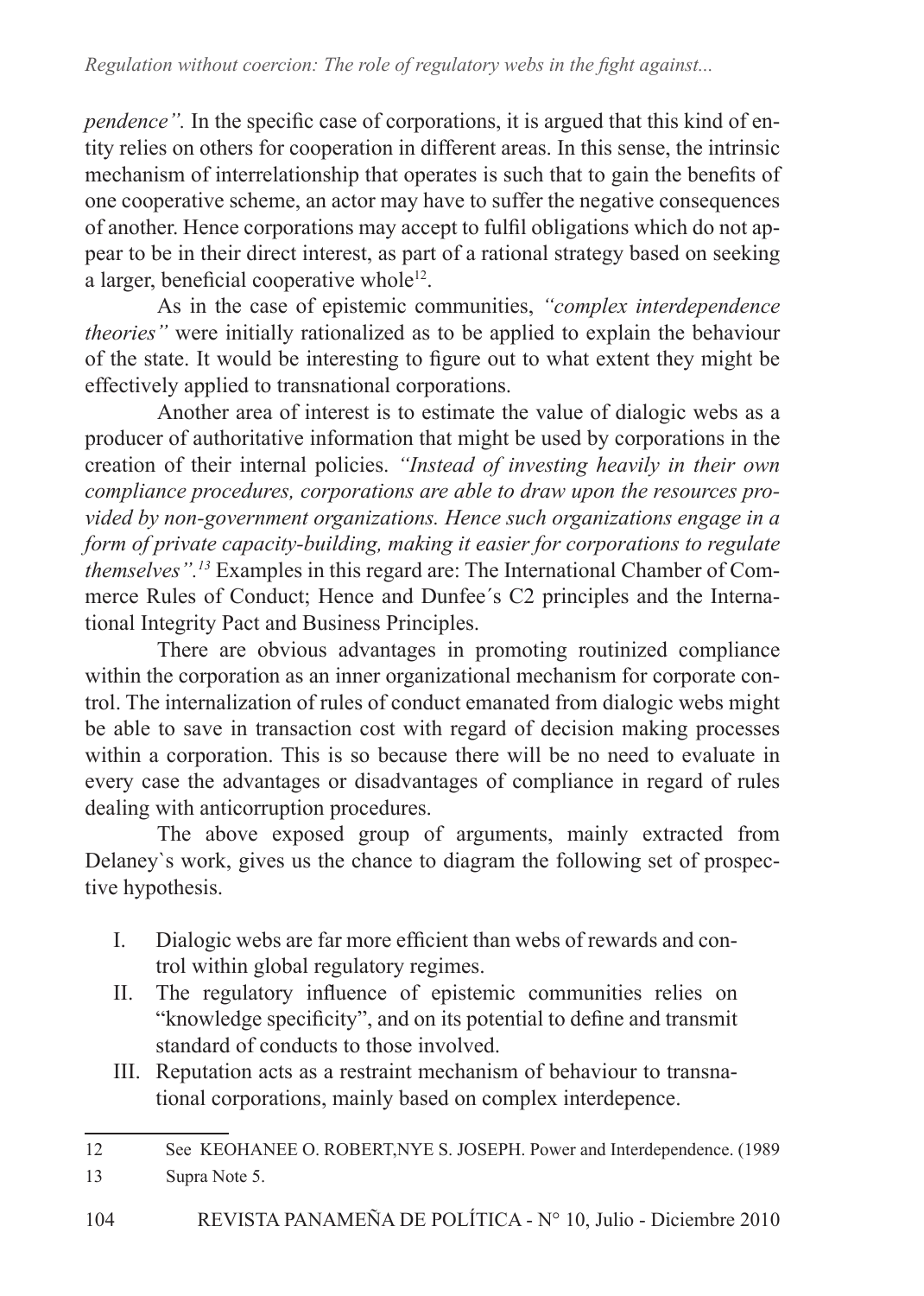*pendence*". In the specific case of corporations, it is argued that this kind of entity relies on others for cooperation in different areas. In this sense, the intrinsic mechanism of interrelationship that operates is such that to gain the benefits of one cooperative scheme, an actor may have to suffer the negative consequences of another. Hence corporations may accept to fulfil obligations which do not appear to be in their direct interest, as part of a rational strategy based on seeking a larger, beneficial cooperative whole<sup>12</sup>.

As in the case of epistemic communities, *"complex interdependence theories"* were initially rationalized as to be applied to explain the behaviour of the state. It would be interesting to figure out to what extent they might be effectively applied to transnational corporations.

Another area of interest is to estimate the value of dialogic webs as a producer of authoritative information that might be used by corporations in the creation of their internal policies. *"Instead of investing heavily in their own compliance procedures, corporations are able to draw upon the resources provided by non-government organizations. Hence such organizations engage in a form of private capacity-building, making it easier for corporations to regulate themselves".13* Examples in this regard are: The International Chamber of Commerce Rules of Conduct; Hence and Dunfee´s C2 principles and the International Integrity Pact and Business Principles.

There are obvious advantages in promoting routinized compliance within the corporation as an inner organizational mechanism for corporate control. The internalization of rules of conduct emanated from dialogic webs might be able to save in transaction cost with regard of decision making processes within a corporation. This is so because there will be no need to evaluate in every case the advantages or disadvantages of compliance in regard of rules dealing with anticorruption procedures.

The above exposed group of arguments, mainly extracted from Delaney`s work, gives us the chance to diagram the following set of prospective hypothesis.

- I. Dialogic webs are far more efficient than webs of rewards and control within global regulatory regimes.
- II. The regulatory influence of epistemic communities relies on "knowledge specificity", and on its potential to define and transmit standard of conducts to those involved.
- III. Reputation acts as a restraint mechanism of behaviour to transnational corporations, mainly based on complex interdepence.

<sup>12</sup> See KEOHANEE O. ROBERT,NYE S. JOSEPH. Power and Interdependence. (1989

<sup>13</sup> Supra Note 5.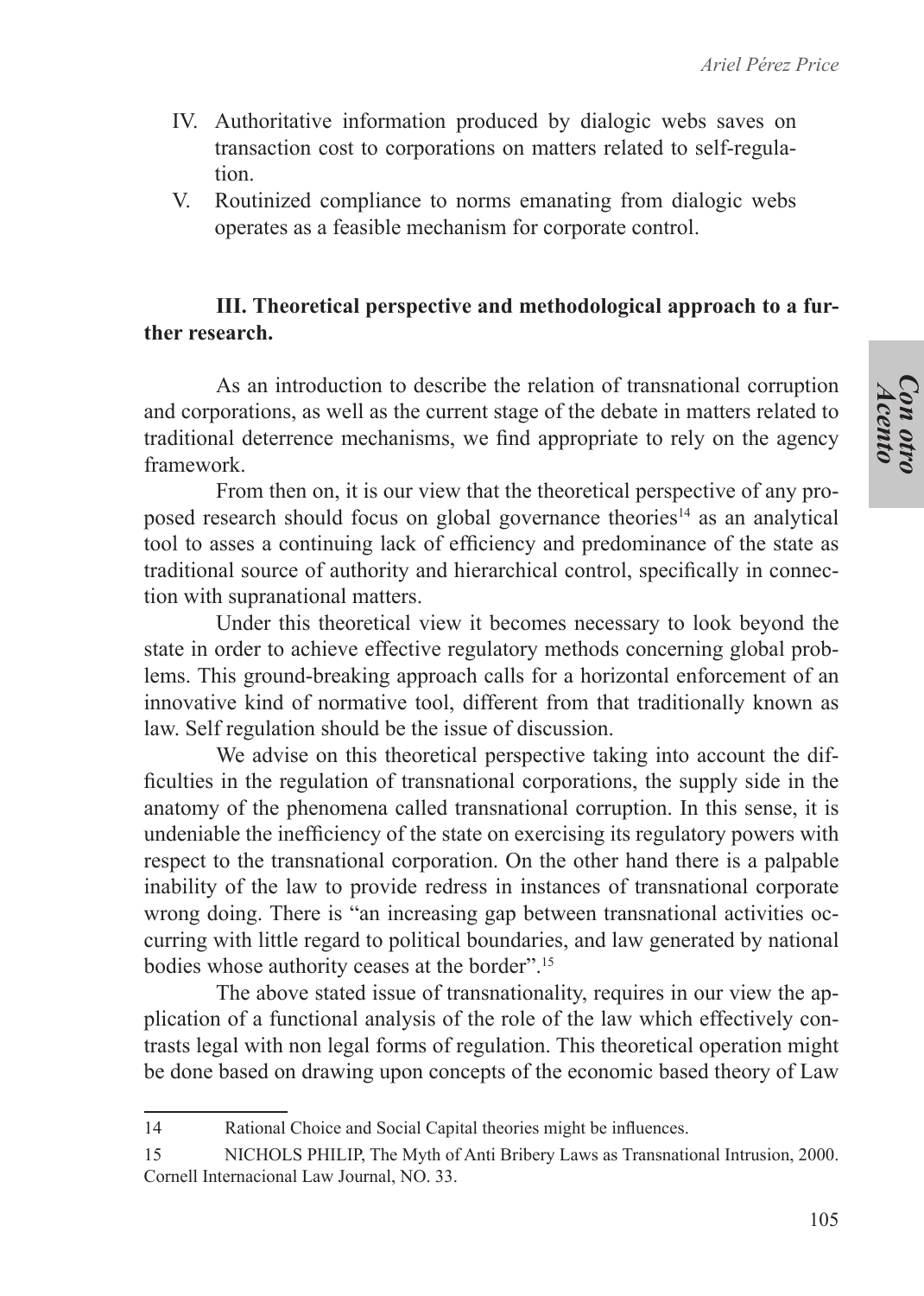- IV. Authoritative information produced by dialogic webs saves on transaction cost to corporations on matters related to self-regulation.
- V. Routinized compliance to norms emanating from dialogic webs operates as a feasible mechanism for corporate control.

## **III. Theoretical perspective and methodological approach to a further research.**

As an introduction to describe the relation of transnational corruption and corporations, as well as the current stage of the debate in matters related to traditional deterrence mechanisms, we find appropriate to rely on the agency framework.

From then on, it is our view that the theoretical perspective of any proposed research should focus on global governance theories<sup>14</sup> as an analytical tool to asses a continuing lack of efficiency and predominance of the state as traditional source of authority and hierarchical control, specifically in connection with supranational matters.

Under this theoretical view it becomes necessary to look beyond the state in order to achieve effective regulatory methods concerning global problems. This ground-breaking approach calls for a horizontal enforcement of an innovative kind of normative tool, different from that traditionally known as law. Self regulation should be the issue of discussion.

We advise on this theoretical perspective taking into account the difficulties in the regulation of transnational corporations, the supply side in the anatomy of the phenomena called transnational corruption. In this sense, it is undeniable the inefficiency of the state on exercising its regulatory powers with respect to the transnational corporation. On the other hand there is a palpable inability of the law to provide redress in instances of transnational corporate wrong doing. There is "an increasing gap between transnational activities occurring with little regard to political boundaries, and law generated by national bodies whose authority ceases at the border".15

The above stated issue of transnationality, requires in our view the application of a functional analysis of the role of the law which effectively contrasts legal with non legal forms of regulation. This theoretical operation might be done based on drawing upon concepts of the economic based theory of Law

<sup>14</sup> Rational Choice and Social Capital theories might be influences.

<sup>15</sup> NICHOLS PHILIP, The Myth of Anti Bribery Laws as Transnational Intrusion, 2000. Cornell Internacional Law Journal, NO. 33.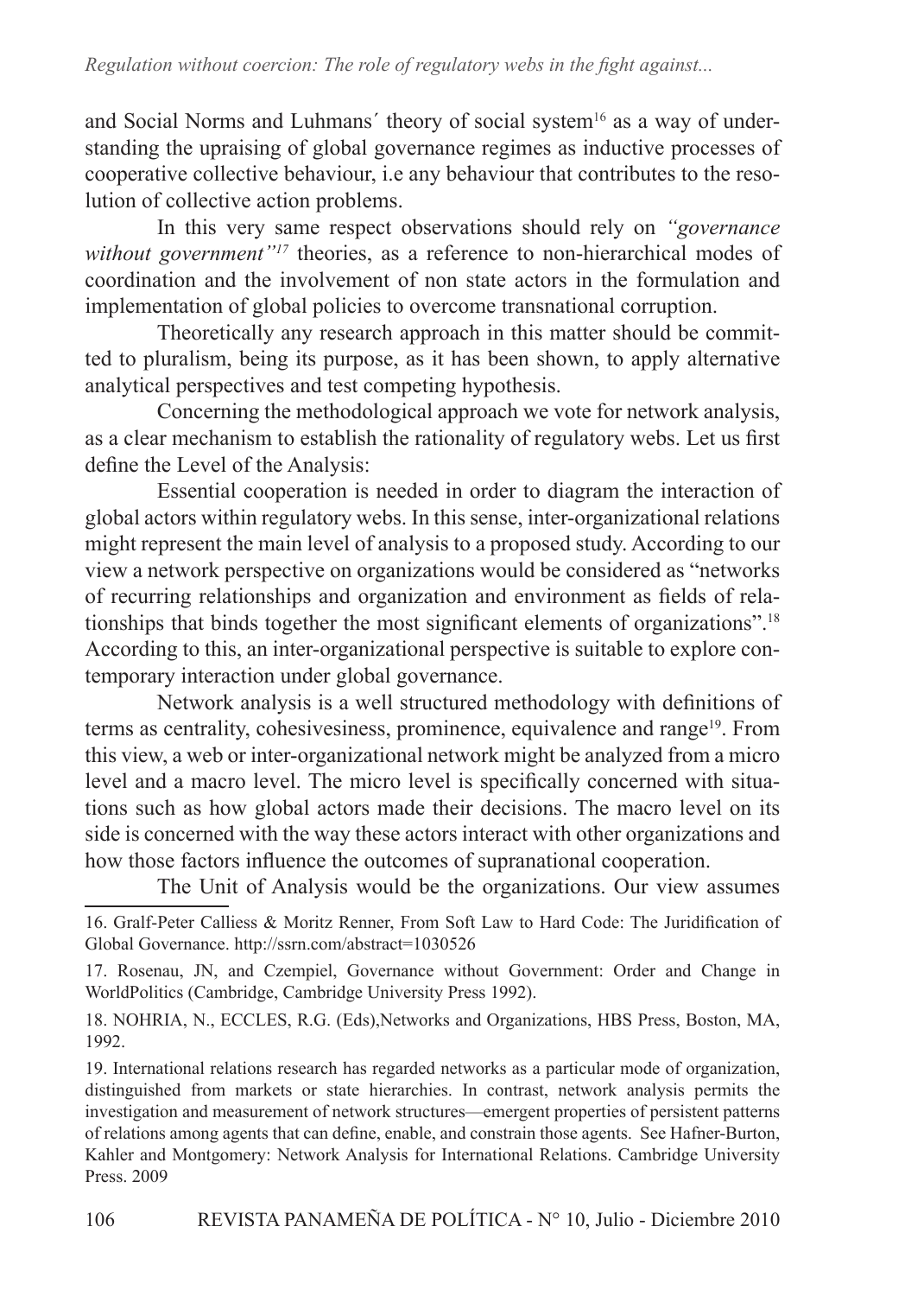and Social Norms and Luhmans' theory of social system<sup>16</sup> as a way of understanding the upraising of global governance regimes as inductive processes of cooperative collective behaviour, i.e any behaviour that contributes to the resolution of collective action problems.

In this very same respect observations should rely on *"governance without government"17* theories, as a reference to non-hierarchical modes of coordination and the involvement of non state actors in the formulation and implementation of global policies to overcome transnational corruption.

Theoretically any research approach in this matter should be committed to pluralism, being its purpose, as it has been shown, to apply alternative analytical perspectives and test competing hypothesis.

Concerning the methodological approach we vote for network analysis, as a clear mechanism to establish the rationality of regulatory webs. Let us first define the Level of the Analysis:

Essential cooperation is needed in order to diagram the interaction of global actors within regulatory webs. In this sense, inter-organizational relations might represent the main level of analysis to a proposed study. According to our view a network perspective on organizations would be considered as "networks of recurring relationships and organization and environment as fields of relationships that binds together the most significant elements of organizations".<sup>18</sup> According to this, an inter-organizational perspective is suitable to explore contemporary interaction under global governance.

Network analysis is a well structured methodology with definitions of terms as centrality, cohesivesiness, prominence, equivalence and range<sup>19</sup>. From this view, a web or inter-organizational network might be analyzed from a micro level and a macro level. The micro level is specifically concerned with situations such as how global actors made their decisions. The macro level on its side is concerned with the way these actors interact with other organizations and how those factors influence the outcomes of supranational cooperation.

The Unit of Analysis would be the organizations. Our view assumes

<sup>16.</sup> Gralf-Peter Calliess & Moritz Renner, From Soft Law to Hard Code: The Juridification of Global Governance. http://ssrn.com/abstract=1030526

<sup>17.</sup> Rosenau, JN, and Czempiel, Governance without Government: Order and Change in WorldPolitics (Cambridge, Cambridge University Press 1992).

<sup>18.</sup> NOHRIA, N., ECCLES, R.G. (Eds),Networks and Organizations, HBS Press, Boston, MA, 1992.

<sup>19.</sup> International relations research has regarded networks as a particular mode of organization, distinguished from markets or state hierarchies. In contrast, network analysis permits the investigation and measurement of network structures—emergent properties of persistent patterns of relations among agents that can define, enable, and constrain those agents. See Hafner-Burton, Kahler and Montgomery: Network Analysis for International Relations. Cambridge University Press. 2009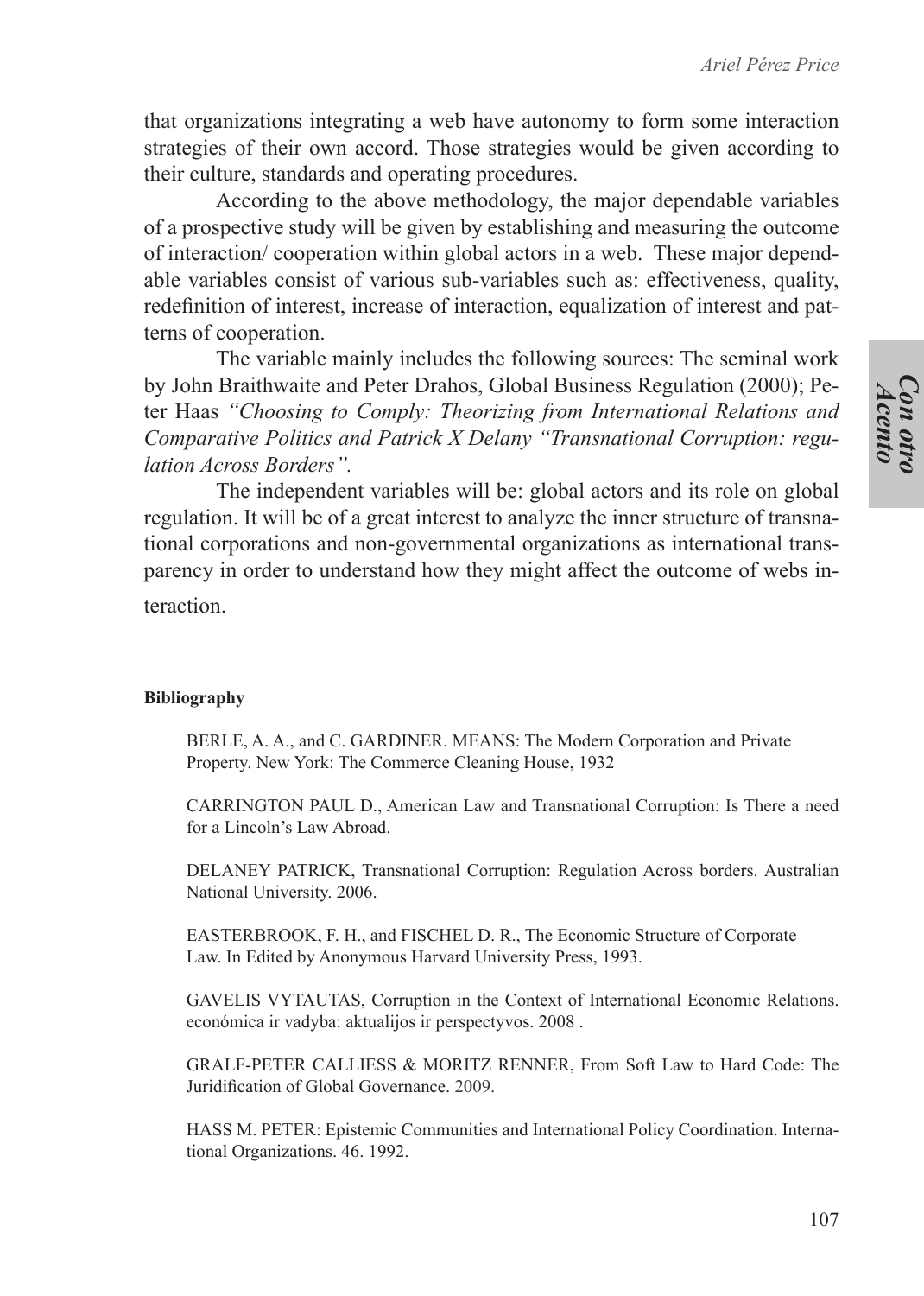that organizations integrating a web have autonomy to form some interaction strategies of their own accord. Those strategies would be given according to their culture, standards and operating procedures.

According to the above methodology, the major dependable variables of a prospective study will be given by establishing and measuring the outcome of interaction/ cooperation within global actors in a web. These major dependable variables consist of various sub-variables such as: effectiveness, quality, redefinition of interest, increase of interaction, equalization of interest and patterns of cooperation.

The variable mainly includes the following sources: The seminal work by John Braithwaite and Peter Drahos, Global Business Regulation (2000); Peter Haas *"Choosing to Comply: Theorizing from International Relations and Comparative Politics and Patrick X Delany "Transnational Corruption: regulation Across Borders".*

The independent variables will be: global actors and its role on global regulation. It will be of a great interest to analyze the inner structure of transnational corporations and non-governmental organizations as international transparency in order to understand how they might affect the outcome of webs interaction.

#### **Bibliography**

BERLE, A. A., and C. GARDINER. MEANS: The Modern Corporation and Private Property. New York: The Commerce Cleaning House, 1932

CARRINGTON PAUL D., American Law and Transnational Corruption: Is There a need for a Lincoln's Law Abroad.

DELANEY PATRICK, Transnational Corruption: Regulation Across borders. Australian National University. 2006.

EASTERBROOK, F. H., and FISCHEL D. R., The Economic Structure of Corporate Law. In Edited by Anonymous Harvard University Press, 1993.

GAVELIS VYTAUTAS, Corruption in the Context of International Economic Relations. económica ir vadyba: aktualijos ir perspectyvos. 2008 .

GRALF-PETER CALLIESS & MORITZ RENNER, From Soft Law to Hard Code: The Juridification of Global Governance. 2009.

HASS M. PETER: Epistemic Communities and International Policy Coordination. International Organizations. 46. 1992.